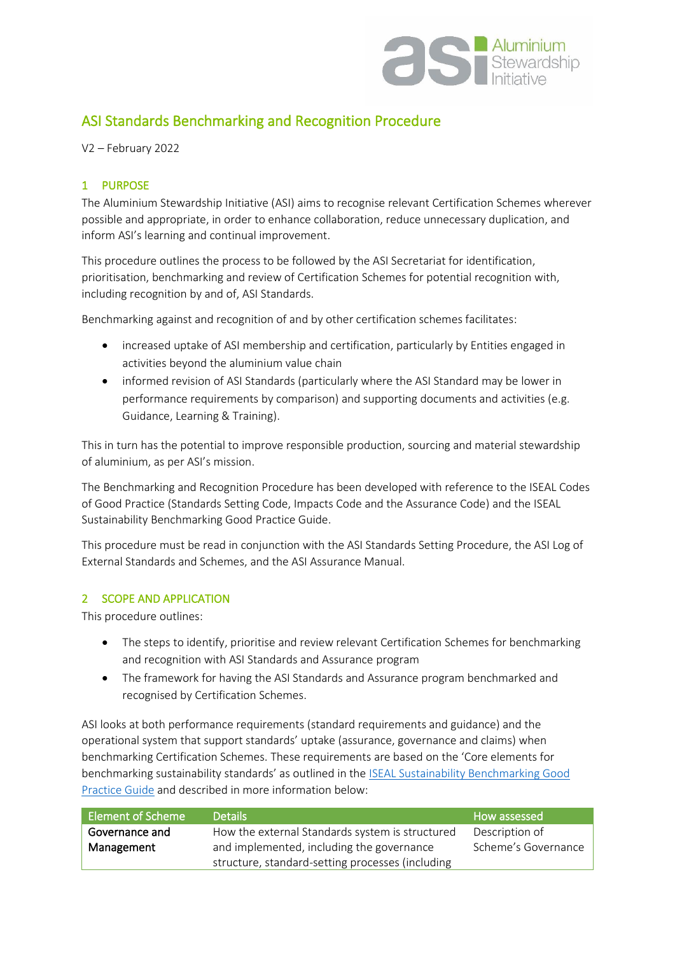

# ASI Standards Benchmarking and Recognition Procedure

V2 – February 2022

# 1 PURPOSE

The Aluminium Stewardship Initiative (ASI) aims to recognise relevant Certification Schemes wherever possible and appropriate, in order to enhance collaboration, reduce unnecessary duplication, and inform ASI's learning and continual improvement.

This procedure outlines the process to be followed by the ASI Secretariat for identification, prioritisation, benchmarking and review of Certification Schemes for potential recognition with, including recognition by and of, ASI Standards.

Benchmarking against and recognition of and by other certification schemes facilitates:

- increased uptake of ASI membership and certification, particularly by Entities engaged in activities beyond the aluminium value chain
- informed revision of ASI Standards (particularly where the ASI Standard may be lower in performance requirements by comparison) and supporting documents and activities (e.g. Guidance, Learning & Training).

This in turn has the potential to improve responsible production, sourcing and material stewardship of aluminium, as per ASI's mission.

The Benchmarking and Recognition Procedure has been developed with reference to the ISEAL Codes of Good Practice (Standards Setting Code, Impacts Code and the Assurance Code) and the ISEAL Sustainability Benchmarking Good Practice Guide.

This procedure must be read in conjunction with the ASI Standards Setting Procedure, the ASI Log of External Standards and Schemes, and the ASI Assurance Manual.

# 2 SCOPE AND APPLICATION

This procedure outlines:

- The steps to identify, prioritise and review relevant Certification Schemes for benchmarking and recognition with ASI Standards and Assurance program
- The framework for having the ASI Standards and Assurance program benchmarked and recognised by Certification Schemes.

ASI looks at both performance requirements (standard requirements and guidance) and the operational system that support standards' uptake (assurance, governance and claims) when benchmarking Certification Schemes. These requirements are based on the 'Core elements for benchmarking sustainability standards' as outlined in the [ISEAL Sustainability Benchmarking Good](https://www.isealalliance.org/about-iseal/our-work/benchmarking)  [Practice Guide](https://www.isealalliance.org/about-iseal/our-work/benchmarking) and described in more information below:

| Element of Scheme | Details                                          | How assessed        |
|-------------------|--------------------------------------------------|---------------------|
| Governance and    | How the external Standards system is structured  | Description of      |
| Management        | and implemented, including the governance        | Scheme's Governance |
|                   | structure, standard-setting processes (including |                     |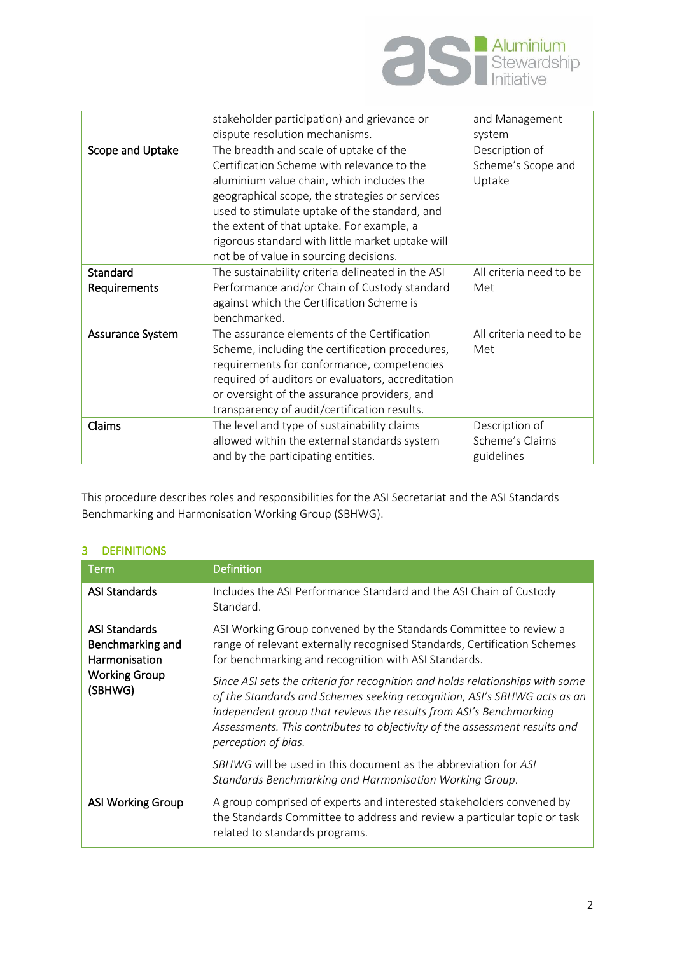

|                  | stakeholder participation) and grievance or       | and Management          |
|------------------|---------------------------------------------------|-------------------------|
|                  | dispute resolution mechanisms.                    | system                  |
| Scope and Uptake | The breadth and scale of uptake of the            | Description of          |
|                  | Certification Scheme with relevance to the        | Scheme's Scope and      |
|                  | aluminium value chain, which includes the         | Uptake                  |
|                  | geographical scope, the strategies or services    |                         |
|                  | used to stimulate uptake of the standard, and     |                         |
|                  | the extent of that uptake. For example, a         |                         |
|                  | rigorous standard with little market uptake will  |                         |
|                  | not be of value in sourcing decisions.            |                         |
| Standard         | The sustainability criteria delineated in the ASI | All criteria need to be |
| Requirements     | Performance and/or Chain of Custody standard      | Met                     |
|                  | against which the Certification Scheme is         |                         |
|                  | benchmarked.                                      |                         |
| Assurance System | The assurance elements of the Certification       | All criteria need to be |
|                  | Scheme, including the certification procedures,   | Met                     |
|                  | requirements for conformance, competencies        |                         |
|                  | required of auditors or evaluators, accreditation |                         |
|                  | or oversight of the assurance providers, and      |                         |
|                  | transparency of audit/certification results.      |                         |
| Claims           | The level and type of sustainability claims       | Description of          |
|                  | allowed within the external standards system      | Scheme's Claims         |
|                  | and by the participating entities.                | guidelines              |
|                  |                                                   |                         |

This procedure describes roles and responsibilities for the ASI Secretariat and the ASI Standards Benchmarking and Harmonisation Working Group (SBHWG).

| Term                                                                                         | <b>Definition</b>                                                                                                                                                                                                                                                                                                                    |
|----------------------------------------------------------------------------------------------|--------------------------------------------------------------------------------------------------------------------------------------------------------------------------------------------------------------------------------------------------------------------------------------------------------------------------------------|
| <b>ASI Standards</b>                                                                         | Includes the ASI Performance Standard and the ASI Chain of Custody<br>Standard.                                                                                                                                                                                                                                                      |
| <b>ASI Standards</b><br>Benchmarking and<br>Harmonisation<br><b>Working Group</b><br>(SBHWG) | ASI Working Group convened by the Standards Committee to review a<br>range of relevant externally recognised Standards, Certification Schemes<br>for benchmarking and recognition with ASI Standards.                                                                                                                                |
|                                                                                              | Since ASI sets the criteria for recognition and holds relationships with some<br>of the Standards and Schemes seeking recognition, ASI's SBHWG acts as an<br>independent group that reviews the results from ASI's Benchmarking<br>Assessments. This contributes to objectivity of the assessment results and<br>perception of bias. |
|                                                                                              | <i>SBHWG</i> will be used in this document as the abbreviation for ASI<br>Standards Benchmarking and Harmonisation Working Group.                                                                                                                                                                                                    |
| <b>ASI Working Group</b>                                                                     | A group comprised of experts and interested stakeholders convened by<br>the Standards Committee to address and review a particular topic or task<br>related to standards programs.                                                                                                                                                   |

# 3 DEFINITIONS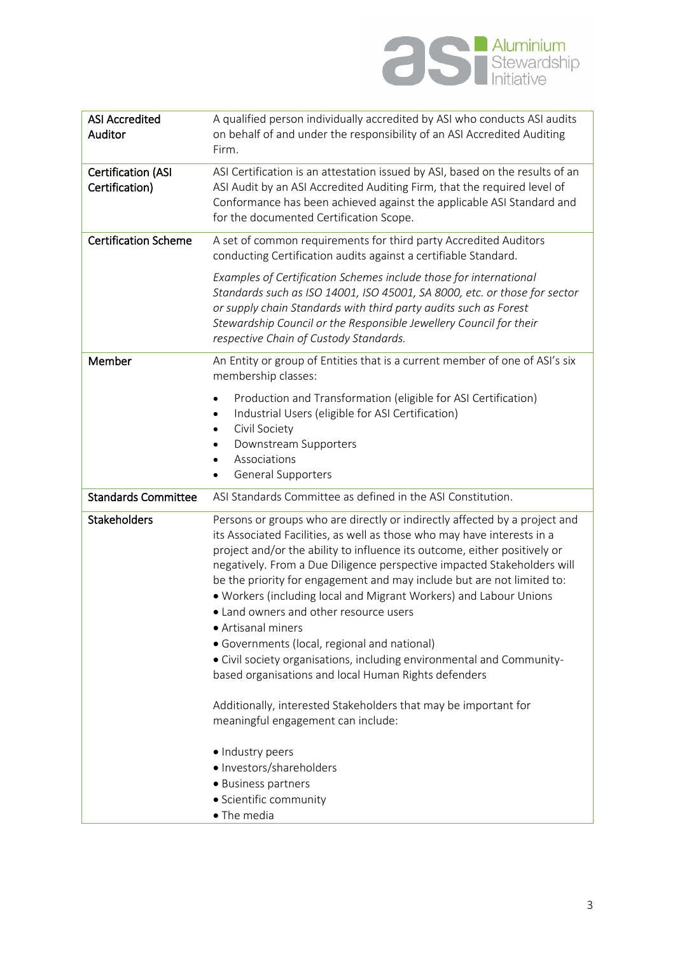

| <b>ASI Accredited</b><br>Auditor            | A qualified person individually accredited by ASI who conducts ASI audits<br>on behalf of and under the responsibility of an ASI Accredited Auditing<br>Firm.                                                                                                                                                                                                                                                                                                                                                                                                                                                                                                                                                 |
|---------------------------------------------|---------------------------------------------------------------------------------------------------------------------------------------------------------------------------------------------------------------------------------------------------------------------------------------------------------------------------------------------------------------------------------------------------------------------------------------------------------------------------------------------------------------------------------------------------------------------------------------------------------------------------------------------------------------------------------------------------------------|
| <b>Certification (ASI</b><br>Certification) | ASI Certification is an attestation issued by ASI, based on the results of an<br>ASI Audit by an ASI Accredited Auditing Firm, that the required level of<br>Conformance has been achieved against the applicable ASI Standard and<br>for the documented Certification Scope.                                                                                                                                                                                                                                                                                                                                                                                                                                 |
| <b>Certification Scheme</b>                 | A set of common requirements for third party Accredited Auditors<br>conducting Certification audits against a certifiable Standard.                                                                                                                                                                                                                                                                                                                                                                                                                                                                                                                                                                           |
|                                             | Examples of Certification Schemes include those for international<br>Standards such as ISO 14001, ISO 45001, SA 8000, etc. or those for sector<br>or supply chain Standards with third party audits such as Forest<br>Stewardship Council or the Responsible Jewellery Council for their<br>respective Chain of Custody Standards.                                                                                                                                                                                                                                                                                                                                                                            |
| Member                                      | An Entity or group of Entities that is a current member of one of ASI's six<br>membership classes:                                                                                                                                                                                                                                                                                                                                                                                                                                                                                                                                                                                                            |
|                                             | Production and Transformation (eligible for ASI Certification)<br>Industrial Users (eligible for ASI Certification)<br>$\bullet$<br>Civil Society<br>Downstream Supporters<br>Associations<br>General Supporters                                                                                                                                                                                                                                                                                                                                                                                                                                                                                              |
| <b>Standards Committee</b>                  | ASI Standards Committee as defined in the ASI Constitution.                                                                                                                                                                                                                                                                                                                                                                                                                                                                                                                                                                                                                                                   |
| <b>Stakeholders</b>                         | Persons or groups who are directly or indirectly affected by a project and<br>its Associated Facilities, as well as those who may have interests in a<br>project and/or the ability to influence its outcome, either positively or<br>negatively. From a Due Diligence perspective impacted Stakeholders will<br>be the priority for engagement and may include but are not limited to:<br>. Workers (including local and Migrant Workers) and Labour Unions<br>• Land owners and other resource users<br>· Artisanal miners<br>• Governments (local, regional and national)<br>• Civil society organisations, including environmental and Community-<br>based organisations and local Human Rights defenders |
|                                             | Additionally, interested Stakeholders that may be important for<br>meaningful engagement can include:                                                                                                                                                                                                                                                                                                                                                                                                                                                                                                                                                                                                         |
|                                             | · Industry peers<br>· Investors/shareholders<br>• Business partners<br>• Scientific community<br>• The media                                                                                                                                                                                                                                                                                                                                                                                                                                                                                                                                                                                                  |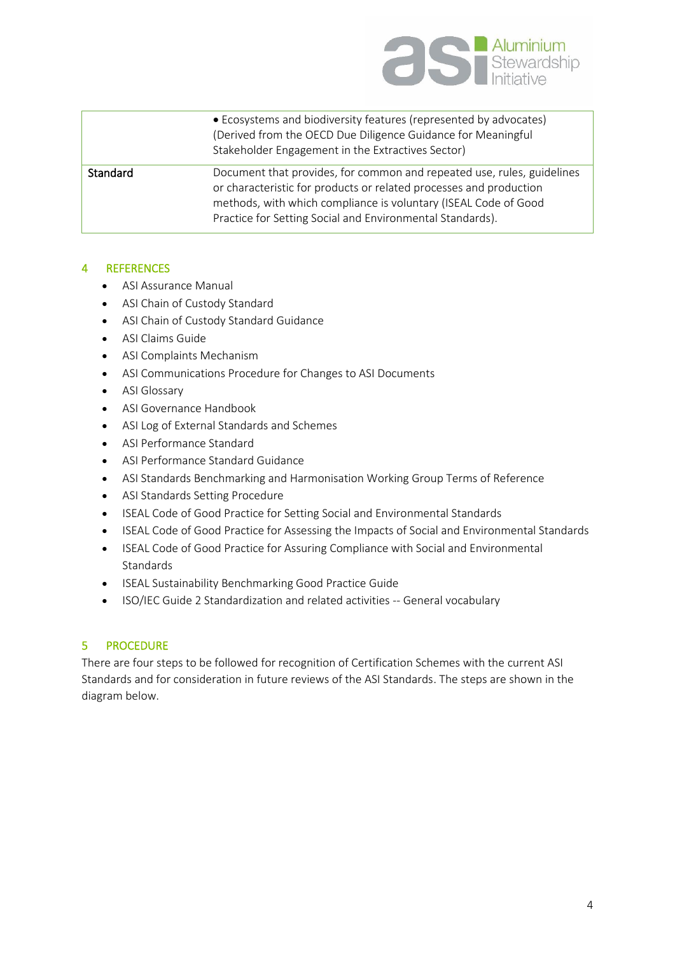

|          | • Ecosystems and biodiversity features (represented by advocates)<br>(Derived from the OECD Due Diligence Guidance for Meaningful<br>Stakeholder Engagement in the Extractives Sector)                                                                                       |
|----------|------------------------------------------------------------------------------------------------------------------------------------------------------------------------------------------------------------------------------------------------------------------------------|
| Standard | Document that provides, for common and repeated use, rules, guidelines<br>or characteristic for products or related processes and production<br>methods, with which compliance is voluntary (ISEAL Code of Good<br>Practice for Setting Social and Environmental Standards). |

# 4 REFERENCES

- ASI Assurance Manual
- ASI Chain of Custody Standard
- ASI Chain of Custody Standard Guidance
- ASI Claims Guide
- ASI Complaints Mechanism
- ASI Communications Procedure for Changes to ASI Documents
- ASI Glossary
- ASI Governance Handbook
- ASI Log of External Standards and Schemes
- ASI Performance Standard
- ASI Performance Standard Guidance
- ASI Standards Benchmarking and Harmonisation Working Group Terms of Reference
- ASI Standards Setting Procedure
- ISEAL Code of Good Practice for Setting Social and Environmental Standards
- ISEAL Code of Good Practice for Assessing the Impacts of Social and Environmental Standards
- ISEAL Code of Good Practice for Assuring Compliance with Social and Environmental **Standards**
- ISEAL Sustainability Benchmarking Good Practice Guide
- ISO/IEC Guide 2 Standardization and related activities -- General vocabulary

# 5 PROCEDURE

There are four steps to be followed for recognition of Certification Schemes with the current ASI Standards and for consideration in future reviews of the ASI Standards. The steps are shown in the diagram below.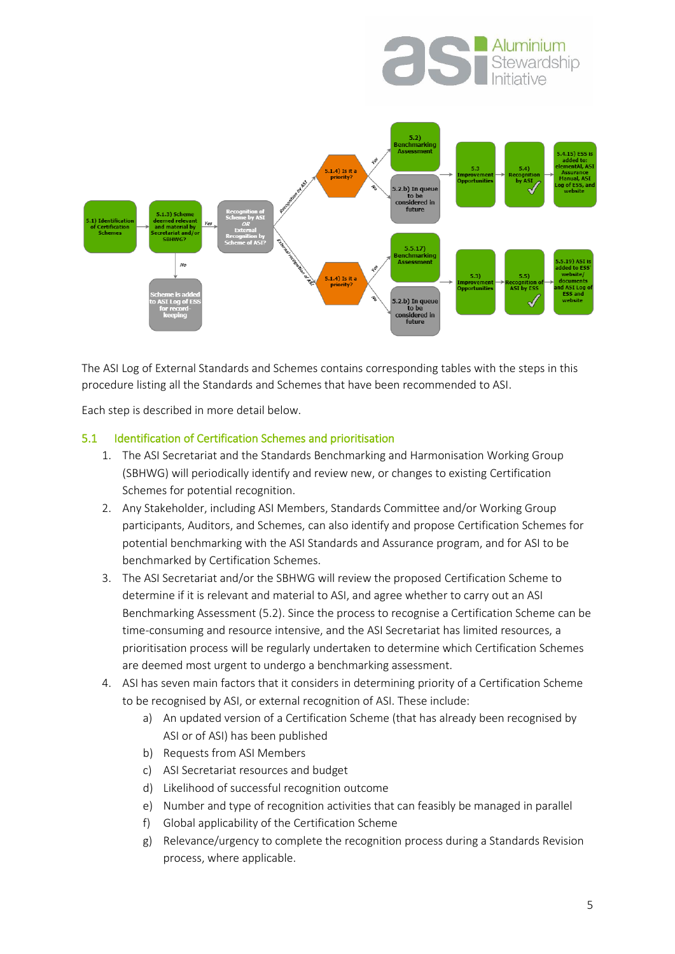



The ASI Log of External Standards and Schemes contains corresponding tables with the steps in this procedure listing all the Standards and Schemes that have been recommended to ASI.

Each step is described in more detail below.

#### 5.1 Identification of Certification Schemes and prioritisation

- 1. The ASI Secretariat and the Standards Benchmarking and Harmonisation Working Group (SBHWG) will periodically identify and review new, or changes to existing Certification Schemes for potential recognition.
- 2. Any Stakeholder, including ASI Members, Standards Committee and/or Working Group participants, Auditors, and Schemes, can also identify and propose Certification Schemes for potential benchmarking with the ASI Standards and Assurance program, and for ASI to be benchmarked by Certification Schemes.
- 3. The ASI Secretariat and/or the SBHWG will review the proposed Certification Scheme to determine if it is relevant and material to ASI, and agree whether to carry out an ASI Benchmarking Assessment (5.2). Since the process to recognise a Certification Scheme can be time-consuming and resource intensive, and the ASI Secretariat has limited resources, a prioritisation process will be regularly undertaken to determine which Certification Schemes are deemed most urgent to undergo a benchmarking assessment.
- 4. ASI has seven main factors that it considers in determining priority of a Certification Scheme to be recognised by ASI, or external recognition of ASI. These include:
	- a) An updated version of a Certification Scheme (that has already been recognised by ASI or of ASI) has been published
	- b) Requests from ASI Members
	- c) ASI Secretariat resources and budget
	- d) Likelihood of successful recognition outcome
	- e) Number and type of recognition activities that can feasibly be managed in parallel
	- f) Global applicability of the Certification Scheme
	- g) Relevance/urgency to complete the recognition process during a Standards Revision process, where applicable.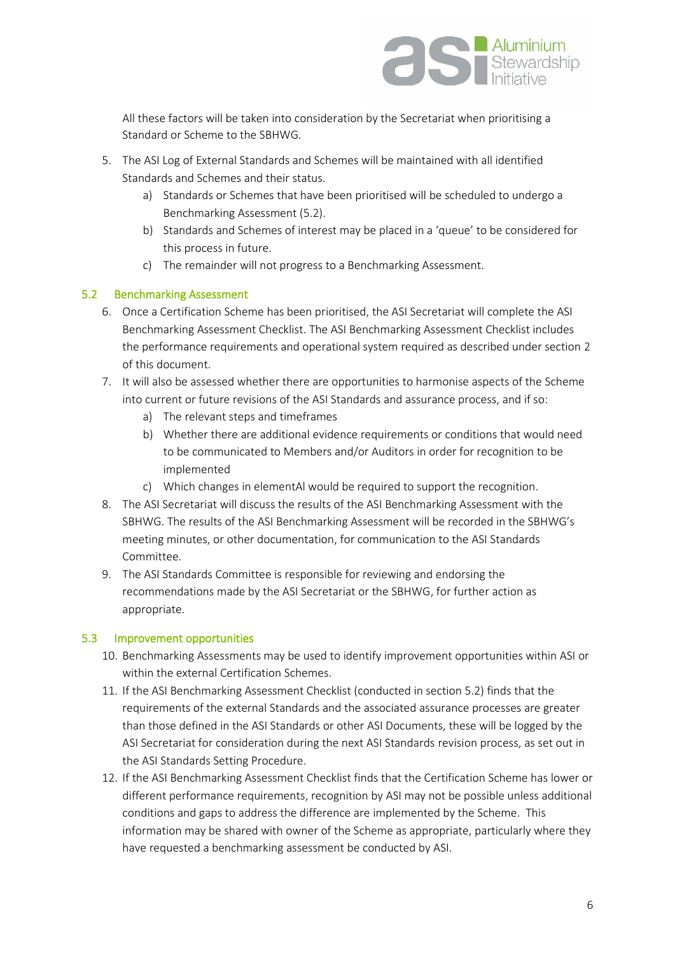

All these factors will be taken into consideration by the Secretariat when prioritising a Standard or Scheme to the SBHWG.

- 5. The ASI Log of External Standards and Schemes will be maintained with all identified Standards and Schemes and their status.
	- a) Standards or Schemes that have been prioritised will be scheduled to undergo a Benchmarking Assessment (5.2).
	- b) Standards and Schemes of interest may be placed in a 'queue' to be considered for this process in future.
	- c) The remainder will not progress to a Benchmarking Assessment.

#### 5.2 Benchmarking Assessment

- 6. Once a Certification Scheme has been prioritised, the ASI Secretariat will complete the ASI Benchmarking Assessment Checklist. The ASI Benchmarking Assessment Checklist includes the performance requirements and operational system required as described under section 2 of this document.
- 7. It will also be assessed whether there are opportunities to harmonise aspects of the Scheme into current or future revisions of the ASI Standards and assurance process, and if so:
	- a) The relevant steps and timeframes
	- b) Whether there are additional evidence requirements or conditions that would need to be communicated to Members and/or Auditors in order for recognition to be implemented
	- c) Which changes in elementAl would be required to support the recognition.
- 8. The ASI Secretariat will discuss the results of the ASI Benchmarking Assessment with the SBHWG. The results of the ASI Benchmarking Assessment will be recorded in the SBHWG's meeting minutes, or other documentation, for communication to the ASI Standards Committee.
- 9. The ASI Standards Committee is responsible for reviewing and endorsing the recommendations made by the ASI Secretariat or the SBHWG, for further action as appropriate.

#### 5.3 Improvement opportunities

- 10. Benchmarking Assessments may be used to identify improvement opportunities within ASI or within the external Certification Schemes.
- 11. If the ASI Benchmarking Assessment Checklist (conducted in section 5.2) finds that the requirements of the external Standards and the associated assurance processes are greater than those defined in the ASI Standards or other ASI Documents, these will be logged by the ASI Secretariat for consideration during the next ASI Standards revision process, as set out in the ASI Standards Setting Procedure.
- 12. If the ASI Benchmarking Assessment Checklist finds that the Certification Scheme has lower or different performance requirements, recognition by ASI may not be possible unless additional conditions and gaps to address the difference are implemented by the Scheme. This information may be shared with owner of the Scheme as appropriate, particularly where they have requested a benchmarking assessment be conducted by ASI.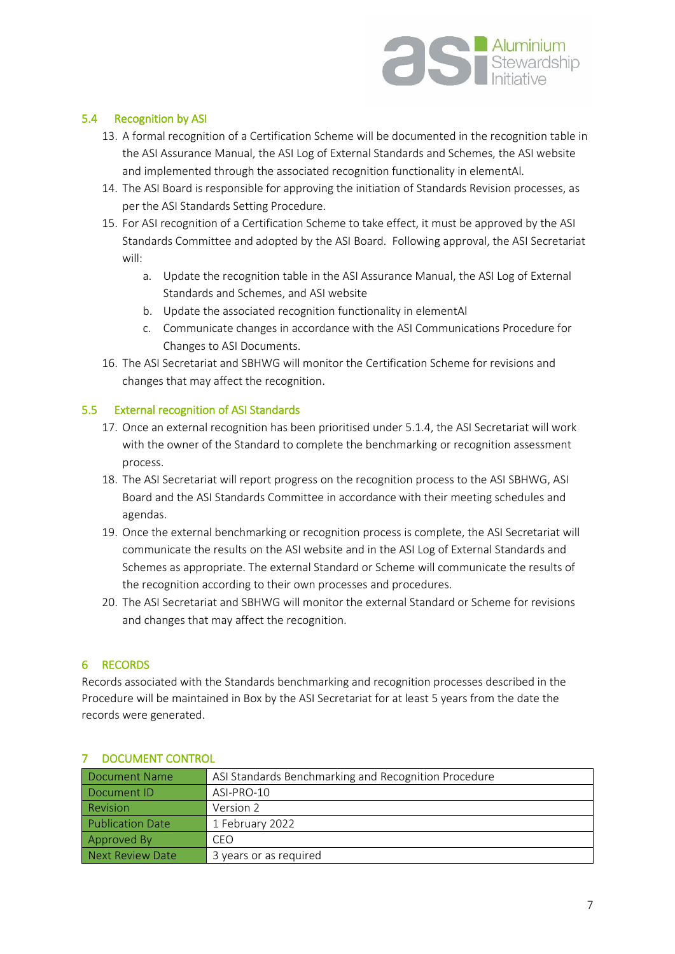

# 5.4 Recognition by ASI

- 13. A formal recognition of a Certification Scheme will be documented in the recognition table in the ASI Assurance Manual, the ASI Log of External Standards and Schemes, the ASI website and implemented through the associated recognition functionality in elementAl.
- 14. The ASI Board is responsible for approving the initiation of Standards Revision processes, as per the ASI Standards Setting Procedure.
- 15. For ASI recognition of a Certification Scheme to take effect, it must be approved by the ASI Standards Committee and adopted by the ASI Board. Following approval, the ASI Secretariat will:
	- a. Update the recognition table in the ASI Assurance Manual, the ASI Log of External Standards and Schemes, and ASI website
	- b. Update the associated recognition functionality in elementAl
	- c. Communicate changes in accordance with the ASI Communications Procedure for Changes to ASI Documents.
- 16. The ASI Secretariat and SBHWG will monitor the Certification Scheme for revisions and changes that may affect the recognition.

#### 5.5 External recognition of ASI Standards

- 17. Once an external recognition has been prioritised under 5.1.4, the ASI Secretariat will work with the owner of the Standard to complete the benchmarking or recognition assessment process.
- 18. The ASI Secretariat will report progress on the recognition process to the ASI SBHWG, ASI Board and the ASI Standards Committee in accordance with their meeting schedules and agendas.
- 19. Once the external benchmarking or recognition process is complete, the ASI Secretariat will communicate the results on the ASI website and in the ASI Log of External Standards and Schemes as appropriate. The external Standard or Scheme will communicate the results of the recognition according to their own processes and procedures.
- 20. The ASI Secretariat and SBHWG will monitor the external Standard or Scheme for revisions and changes that may affect the recognition.

# 6 RECORDS

Records associated with the Standards benchmarking and recognition processes described in the Procedure will be maintained in Box by the ASI Secretariat for at least 5 years from the date the records were generated.

| Document Name           | ASI Standards Benchmarking and Recognition Procedure |
|-------------------------|------------------------------------------------------|
| Document ID             | ASI-PRO-10                                           |
| <b>Revision</b>         | Version 2                                            |
| <b>Publication Date</b> | 1 February 2022                                      |
| Approved By             | CEO                                                  |
| Next Review Date        | 3 years or as required                               |

#### 7 DOCUMENT CONTROL